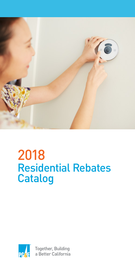

# 2018 Residential Rebates Catalog



**Together, Building** a Better California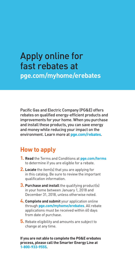# Apply online for fast rebates at

**[pge.com/myhome/erebates](http://www.pge.com/myhome/erebates)**

Pacific Gas and Electric Company (PG&E) offers rebates on qualified energy-efficient products and improvements for your home. When you purchase and install these products, you can save energy and money while reducing your impact on the environment. Learn more at **[pge.com/rebates](http://www.pge.com/rebates)**.

## **How to apply**

- **1. Read** the Terms and Conditions at **[pge.com/terms](http://www.pge.com/terms)** to determine if you are eligible for a rebate.
- **2. Locate** the item(s) that you are applying for in this catalog. Be sure to review the important qualification information.
- **3. Purchase and install** the qualifying product(s) in your home between January 1, 2018 and December 31, 2018, unless otherwise noted.
- **4. Complete and submit** your application online through **[pge.com/myhome/erebates](http://www.pge.com/myhome/erebates)**. All rebate applications must be received within 60 days from date of purchase.
- **5.** Rebate eligibility and amounts are subject to change at any time.

**If you are not able to complete the PG&E erebates process, please call the Smarter Energy Line at 1-800-933-9555.**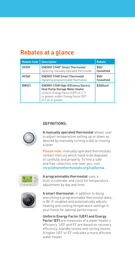## **Rebates at a glance**

| <b>Rebate Code</b> | <b>Description</b>                                                                                                                                                                 | <b>Rebate</b>      |
|--------------------|------------------------------------------------------------------------------------------------------------------------------------------------------------------------------------|--------------------|
| HV359              | <b>ENERGY STAR<sup>®</sup> Smart Thermostat</b><br>replacing manually operated thermostat                                                                                          | \$50/<br>household |
| HV360              | <b>ENERGY STAR Smart Thermostat</b><br>replacing programmable thermostat                                                                                                           | \$50/<br>household |
| BW031              | <b>ENERGY STAR High-Efficiency Electric</b><br>Heat Pump Storage Water Heater<br>Uniform Energy Factor (UEF) of 3.11<br>or greater and/or Energy Factor (EF)<br>of 3.24 or greater | \$300/unit         |

#### DEFINITIONS:



A manually operated thermostat allows user to adjust temperature setting up or down as desired by manually turning a dial or moving a lever.

Please note: manually operated thermostats contain mercury which need to be disposed of carefully and properly. To find a safe and free collection site near you, visit [recyclehomethermostats.org/california](http://recyclehomethermostats.org/california).



A programmable thermostat uses a built-in calendar and clock for temperature adjustment by day and time.



A smart thermostat, in addition to doing everything a programmable thermostat does, is Wi-Fi enabled and automatically adjusts heating and cooling temperature settings in your home for optimal performance.

Uniform Energy Factor (UEF) and Energy Factor (EF) are measures of a water heater's efficiency. UEF and EF are based on recovery efficiency, standby losses and cycling losses. A higher UEF or EF indicates a more efficient water heater.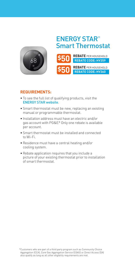

# ENERGY STAR® Smart Thermostat



#### **REQUIREMENTS:**

- To see the full list of qualifying products, visit the [ENERGY STAR website](https://www.energystar.gov/productfinder/product/certified-connected-thermostats/).
- Smart thermostat must be new, replacing an existing manual or programmable thermostat.
- Installation address must have an electric and/or gas account with PG&E.\* Only one rebate is available per account.
- Smart thermostat must be installed and connected to Wi-Fi.
- Residence must have a central heating and/or cooling system.
- Rebate application requires that you include a picture of your existing thermostat prior to installation of smart thermostat.

<sup>\*</sup>Customers who are part of a third party program such as Community Choice Aggregation (CCA), Core Gas Aggregation Service (CGAS) or Direct Access (DA) also qualify as long as all other eligibility requirements are met.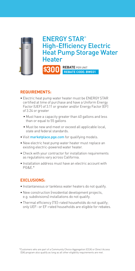

## ENERGY STAR® High-Efficiency Electric Heat Pump Storage Water **Heater**

**REBATE** PER UNIT **\$300 REBATE CODE: BW031**

#### **REQUIREMENTS:**

- Electric heat pump water heater must be ENERGY STAR certified at time of purchase and have a Uniform Energy Factor (UEF) of 3.11 or greater and/or Energy Factor (EF) of 3.24 or greater
	- Must have a capacity greater than 40 gallons and less than or equal to 55 gallons
	- Must be new and meet or exceed all applicable local, state and federal standards.
- Visit [marketplace.pge.com](http://marketplace.pge.com) for qualifying models.
- New electric heat pump water heater must replace an existing electric-powered water heater.
- Check with your contractor for installation requirements as regulations vary across California.
- Installation address must have an electric account with PG&E.\*

#### **EXCLUSIONS:**

- Instantaneous or tankless water heaters do not qualify.
- New construction (residential development projects, e.g. subdivisions) installations do not qualify.
- Thermal efficiency (TE)-rated households do not qualify; only UEF- or EF-rated households are eligible for rebates.

\*Customers who are part of a Community Choice Aggregation (CCA) or Direct Access (DA) program also qualify as long as all other eligibility requirements are met.